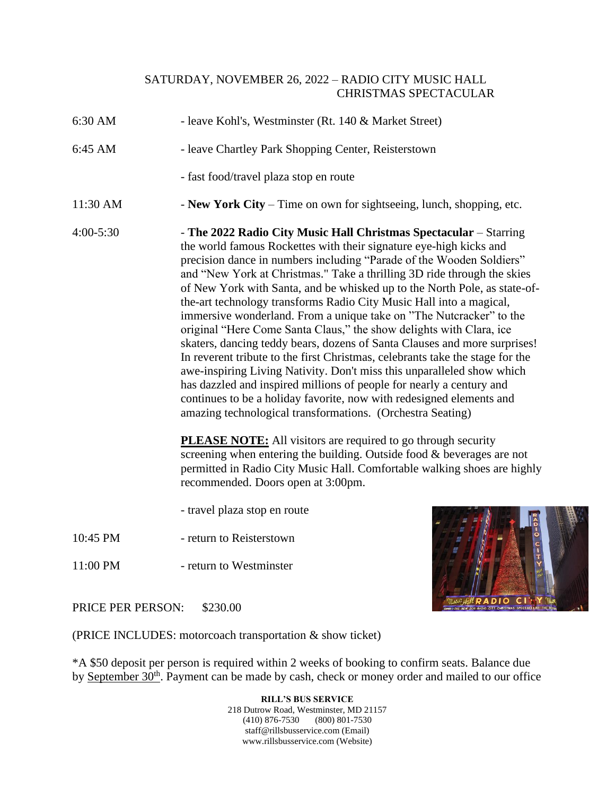## SATURDAY, NOVEMBER 26, 2022 – RADIO CITY MUSIC HALL CHRISTMAS SPECTACULAR

- 6:30 AM leave Kohl's, Westminster (Rt. 140 & Market Street)
- 6:45 AM leave Chartley Park Shopping Center, Reisterstown
	- fast food/travel plaza stop en route
- 11:30 AM **New York City** Time on own for sightseeing, lunch, shopping, etc.
- 4:00-5:30 **The 2022 Radio City Music Hall Christmas Spectacular** Starring the world famous Rockettes with their signature eye-high kicks and precision dance in numbers including "Parade of the Wooden Soldiers" and "New York at Christmas." Take a thrilling 3D ride through the skies of New York with Santa, and be whisked up to the North Pole, as state-ofthe-art technology transforms Radio City Music Hall into a magical, immersive wonderland. From a unique take on "The Nutcracker" to the original "Here Come Santa Claus," the show delights with Clara, ice skaters, dancing teddy bears, dozens of Santa Clauses and more surprises! In reverent tribute to the first Christmas, celebrants take the stage for the awe-inspiring Living Nativity. Don't miss this unparalleled show which has dazzled and inspired millions of people for nearly a century and continues to be a holiday favorite, now with redesigned elements and amazing technological transformations. (Orchestra Seating)

**PLEASE NOTE:** All visitors are required to go through security screening when entering the building. Outside food & beverages are not permitted in Radio City Music Hall. Comfortable walking shoes are highly recommended. Doors open at 3:00pm.

- travel plaza stop en route
- 10:45 PM return to Reisterstown
- 11:00 PM return to Westminster



PRICE PER PERSON: \$230.00

(PRICE INCLUDES: motorcoach transportation & show ticket)

\*A \$50 deposit per person is required within 2 weeks of booking to confirm seats. Balance due by September 30<sup>th</sup>. Payment can be made by cash, check or money order and mailed to our office

> **RILL'S BUS SERVICE** 218 Dutrow Road, Westminster, MD 21157 (410) 876-7530 (800) 801-7530 staff@rillsbusservice.com (Email) www.rillsbusservice.com (Website)